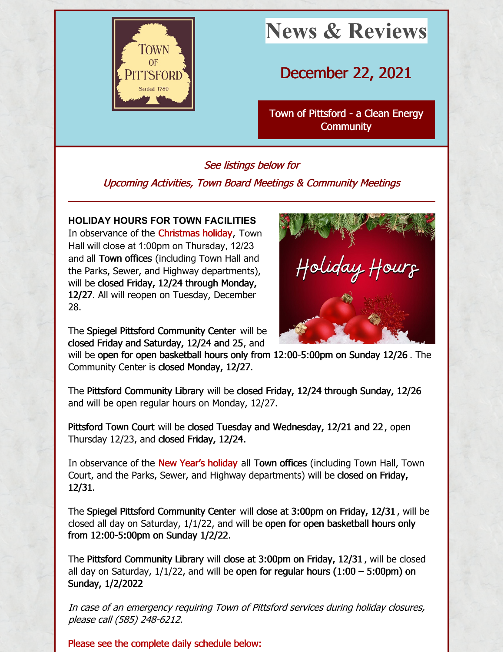

# **News & Reviews**

December 22, 2021

Town of Pittsford - a Clean Energy **[Community](http://www.townofpittsford.org)** 

# See listings below for Upcoming Activities, Town Board Meetings & Community Meetings

# **HOLIDAY HOURS FOR TOWN FACILITIES**

In observance of the **Christmas holiday**, Town Hall will close at 1:00pm on Thursday, 12/23 and all Town offices (including Town Hall and the Parks, Sewer, and Highway departments), will be closed Friday, 12/24 through Monday, 12/27. All will reopen on Tuesday, December 28.



The Spiegel Pittsford Community Center will be closed Friday and Saturday, 12/24 and 25, and

will be open for open basketball hours only from 12:00-5:00pm on Sunday 12/26 . The Community Center is closed Monday, 12/27.

The Pittsford Community Library will be closed Friday, 12/24 through Sunday, 12/26 and will be open regular hours on Monday, 12/27.

Pittsford Town Court will be closed Tuesday and Wednesday, 12/21 and 22 , open Thursday 12/23, and closed Friday, 12/24.

In observance of the New Year's holiday all Town offices (including Town Hall, Town Court, and the Parks, Sewer, and Highway departments) will be closed on Friday, 12/31.

The Spiegel Pittsford Community Center will close at 3:00pm on Friday, 12/31 , will be closed all day on Saturday, 1/1/22, and will be open for open basketball hours only from 12:00-5:00pm on Sunday 1/2/22.

The Pittsford Community Library will close at 3:00pm on Friday, 12/31 , will be closed all day on Saturday,  $1/1/22$ , and will be open for regular hours  $(1:00 - 5:00$ pm) on Sunday, 1/2/2022

In case of an emergency requiring Town of Pittsford services during holiday closures, please call (585) 248-6212.

Please see the complete daily schedule below: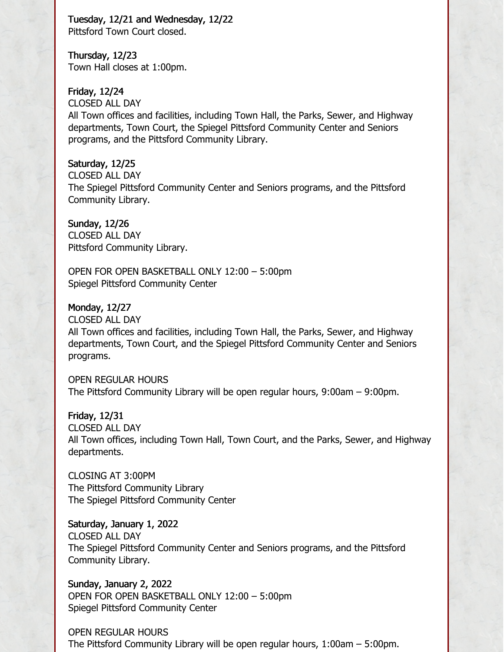Tuesday, 12/21 and Wednesday, 12/22 Pittsford Town Court closed.

Thursday, 12/23 Town Hall closes at 1:00pm.

Friday, 12/24 CLOSED ALL DAY All Town offices and facilities, including Town Hall, the Parks, Sewer, and Highway departments, Town Court, the Spiegel Pittsford Community Center and Seniors programs, and the Pittsford Community Library.

Saturday, 12/25 CLOSED ALL DAY The Spiegel Pittsford Community Center and Seniors programs, and the Pittsford Community Library.

Sunday, 12/26 CLOSED ALL DAY Pittsford Community Library.

OPEN FOR OPEN BASKETBALL ONLY 12:00 – 5:00pm Spiegel Pittsford Community Center

Monday, 12/27 CLOSED ALL DAY All Town offices and facilities, including Town Hall, the Parks, Sewer, and Highway departments, Town Court, and the Spiegel Pittsford Community Center and Seniors programs.

OPEN REGULAR HOURS The Pittsford Community Library will be open regular hours, 9:00am – 9:00pm.

Friday, 12/31 CLOSED ALL DAY All Town offices, including Town Hall, Town Court, and the Parks, Sewer, and Highway departments.

CLOSING AT 3:00PM The Pittsford Community Library The Spiegel Pittsford Community Center

Saturday, January 1, 2022 CLOSED ALL DAY The Spiegel Pittsford Community Center and Seniors programs, and the Pittsford Community Library.

Sunday, January 2, 2022 OPEN FOR OPEN BASKETBALL ONLY 12:00 – 5:00pm Spiegel Pittsford Community Center

OPEN REGULAR HOURS The Pittsford Community Library will be open regular hours, 1:00am – 5:00pm.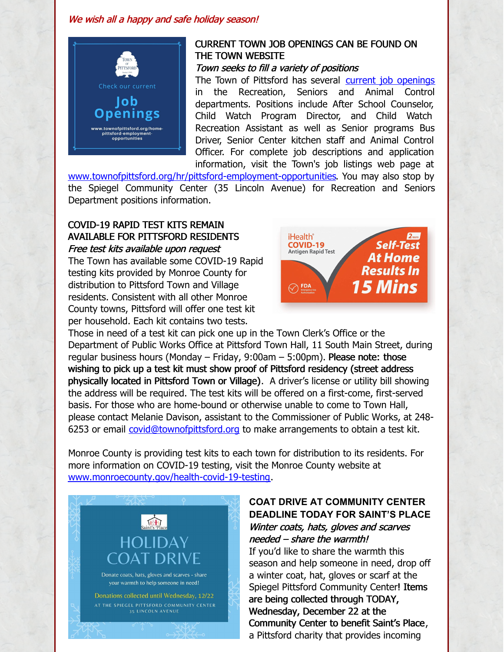#### We wish all a happy and safe holiday season!



## CURRENT TOWN JOB OPENINGS CAN BE FOUND ON THE TOWN WEBSITE

Town seeks to fill <sup>a</sup> variety of positions

The Town of Pittsford has several current job [openings](https://www.townofpittsford.org/hr/pittsford-employment-opportunities) in the Recreation, Seniors and Animal Control departments. Positions include After School Counselor, Child Watch Program Director, and Child Watch Recreation Assistant as well as Senior programs Bus Driver, Senior Center kitchen staff and Animal Control Officer. For complete job descriptions and application information, visit the Town's job listings web page at

[www.townofpittsford.org/hr/pittsford-employment-opportunities](http://www.townofpittsford.org/home-pittsford-employment-opportunities). You may also stop by the Spiegel Community Center (35 Lincoln Avenue) for Recreation and Seniors Department positions information.

### COVID-19 RAPID TEST KITS REMAIN AVAILABLE FOR PITTSFORD RESIDENTS Free test kits available upon request

The Town has available some COVID-19 Rapid testing kits provided by Monroe County for distribution to Pittsford Town and Village residents. Consistent with all other Monroe County towns, Pittsford will offer one test kit per household. Each kit contains two tests.



Those in need of a test kit can pick one up in the Town Clerk's Office or the Department of Public Works Office at Pittsford Town Hall, 11 South Main Street, during regular business hours (Monday – Friday, 9:00am – 5:00pm). Please note: those wishing to pick up a test kit must show proof of Pittsford residency (street address physically located in Pittsford Town or Village). A driver's license or utility bill showing the address will be required. The test kits will be offered on a first-come, first-served basis. For those who are home-bound or otherwise unable to come to Town Hall, please contact Melanie Davison, assistant to the Commissioner of Public Works, at 248- 6253 or email *[covid@townofpittsford.org](mailto:covid@townofpittsford.org)* to make arrangements to obtain a test kit.

Monroe County is providing test kits to each town for distribution to its residents. For more information on COVID-19 testing, visit the Monroe County website at [www.monroecounty.gov/health-covid-19-testing](http://www.monroecounty.gov/health-covid-19-testing).



## **COAT DRIVE AT COMMUNITY CENTER DEADLINE TODAY FOR SAINT'S PLACE** Winter coats, hats, gloves and scarves needed – share the warmth!

If you'd like to share the warmth this season and help someone in need, drop off a winter coat, hat, gloves or scarf at the Spiegel Pittsford Community Center! Items are being collected through TODAY, Wednesday, December 22 at the Community Center to benefit Saint's Place, a Pittsford charity that provides incoming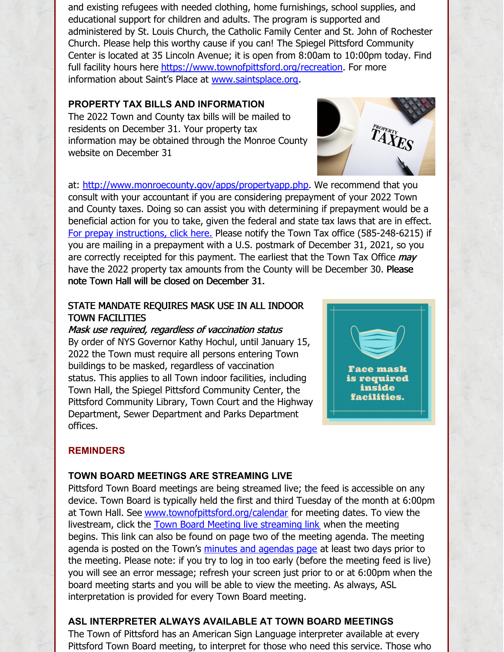and existing refugees with needed clothing, home furnishings, school supplies, and educational support for children and adults. The program is supported and administered by St. Louis Church, the Catholic Family Center and St. John of Rochester Church. Please help this worthy cause if you can! The Spiegel Pittsford Community Center is located at 35 Lincoln Avenue; it is open from 8:00am to 10:00pm today. Find full facility hours here <https://www.townofpittsford.org/recreation>. For more information about Saint's Place at [www.saintsplace.org](http://www.saintsplace.org).

#### **PROPERTY TAX BILLS AND INFORMATION**

The 2022 Town and County tax bills will be mailed to residents on December 31. Your property tax information may be obtained through the Monroe County website on December 31



at: <http://www.monroecounty.gov/apps/propertyapp.php>. We recommend that you consult with your accountant if you are considering prepayment of your 2022 Town and County taxes. Doing so can assist you with determining if prepayment would be a beneficial action for you to take, given the federal and state tax laws that are in effect. For prepay [instructions,](https://www.townofpittsford.org/files/publications/Taxes-Property-2022-pre-pay-instructions.pdf) click here. Please notify the Town Tax office (585-248-6215) if you are mailing in a prepayment with a U.S. postmark of December 31, 2021, so you are correctly receipted for this payment. The earliest that the Town Tax Office may have the 2022 property tax amounts from the County will be December 30. Please note Town Hall will be closed on December 31.

#### STATE MANDATE REQUIRES MASK USE IN ALL INDOOR TOWN FACILITIES

#### Mask use required, regardless of vaccination status

By order of NYS Governor Kathy Hochul, until January 15, 2022 the Town must require all persons entering Town buildings to be masked, regardless of vaccination status. This applies to all Town indoor facilities, including Town Hall, the Spiegel Pittsford Community Center, the Pittsford Community Library, Town Court and the Highway Department, Sewer Department and Parks Department offices.



#### **REMINDERS**

#### **TOWN BOARD MEETINGS ARE STREAMING LIVE**

Pittsford Town Board meetings are being streamed live; the feed is accessible on any device. Town Board is typically held the first and third Tuesday of the month at 6:00pm at Town Hall. See [www.townofpittsford.org/calendar](https://www.townofpittsford.org/calendar) for meeting dates. To view the livestream, click the **Town Board Meeting live [streaming](https://videoplayer.telvue.com/player/FcqTL0OYMCGU6WlccUApyUL3twz4dm9V/stream/819?fullscreen=false&showtabssearch=true&autostart=true) link** when the meeting begins. This link can also be found on page two of the meeting agenda. The meeting agenda is posted on the Town's minutes and [agendas](https://www.townofpittsford.org/minutes) page at least two days prior to the meeting. Please note: if you try to log in too early (before the meeting feed is live) you will see an error message; refresh your screen just prior to or at 6:00pm when the board meeting starts and you will be able to view the meeting. As always, ASL interpretation is provided for every Town Board meeting.

# **ASL INTERPRETER ALWAYS AVAILABLE AT TOWN BOARD MEETINGS**

The Town of Pittsford has an American Sign Language interpreter available at every Pittsford Town Board meeting, to interpret for those who need this service. Those who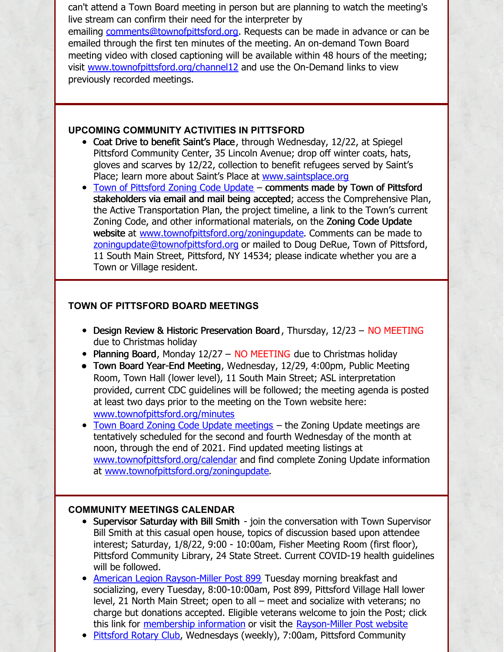can't attend a Town Board meeting in person but are planning to watch the meeting's live stream can confirm their need for the interpreter by emailing [comments@townofpittsford.org](mailto:comments@townofpittsford.org?subject=ASL interperter request for Town Board meeting). Requests can be made in advance or can be emailed through the first ten minutes of the meeting. An on-demand Town Board meeting video with closed captioning will be available within 48 hours of the meeting; visit [www.townofpittsford.org/channel12](https://www.townofpittsford.org/channel12) and use the On-Demand links to view previously recorded meetings.

#### **UPCOMING COMMUNITY ACTIVITIES IN PITTSFORD**

- Coat Drive to benefit Saint's Place, through Wednesday, 12/22, at Spiegel Pittsford Community Center, 35 Lincoln Avenue; drop off winter coats, hats, gloves and scarves by 12/22, collection to benefit refugees served by Saint's Place; learn more about Saint's Place at [www.saintsplace.org](http://www.saintsplace.org)
- Town of [Pittsford](https://www.townofpittsford.org/zoningupdate) Zoning Code Update comments made by Town of Pittsford stakeholders via email and mail being accepted; access the Comprehensive Plan, the Active Transportation Plan, the project timeline, a link to the Town's current Zoning Code, and other informational materials, on the Zoning Code Update website at [www.townofpittsford.org/zoningupdate](https://www.townofpittsford.org/zoningupdate). Comments can be made to [zoningupdate@townofpittsford.org](mailto:zoningupdate@townofpittsford.org) or mailed to Doug DeRue, Town of Pittsford, 11 South Main Street, Pittsford, NY 14534; please indicate whether you are a Town or Village resident.

#### **TOWN OF PITTSFORD BOARD MEETINGS**

- Design Review & Historic Preservation Board, Thursday, 12/23 NO MEETING due to Christmas holiday
- Planning Board, Monday  $12/27 NO MEETING$  due to Christmas holiday
- Town Board Year-End Meeting, Wednesday, 12/29, 4:00pm, Public Meeting Room, Town Hall (lower level), 11 South Main Street; ASL interpretation provided, current CDC guidelines will be followed; the meeting agenda is posted at least two days prior to the meeting on the Town website here: [www.townofpittsford.org/minutes](https://www.townofpittsford.org/minutes)
- Town Board Zoning Code Update [meetings](http://www.townofpittsford.org/zoningupdate) the Zoning Update meetings are tentatively scheduled for the second and fourth Wednesday of the month at noon, through the end of 2021. Find updated meeting listings at [www.townofpittsford.org/calendar](http://www.townofpittsford.org/calendar) and find complete Zoning Update information at [www.townofpittsford.org/zoningupdate](http://www.townofpittsford.org/zoningupdate).

#### **COMMUNITY MEETINGS CALENDAR**

- Supervisor Saturday with Bill Smith join the conversation with Town Supervisor Bill Smith at this casual open house, topics of discussion based upon attendee interest; Saturday, 1/8/22, 9:00 - 10:00am, Fisher Meeting Room (first floor), Pittsford Community Library, 24 State Street. Current COVID-19 health guidelines will be followed.
- American Legion [Rayson-Miller](http://www.raysonmillerpost899.org/) Post 899 Tuesday morning breakfast and socializing, every Tuesday, 8:00-10:00am, Post 899, Pittsford Village Hall lower level, 21 North Main Street; open to all – meet and socialize with veterans; no charge but donations accepted. Eligible veterans welcome to join the Post; click this link for [membership](https://raysonmillerpost899.org/contact.html) information or visit the [Rayson-Miller](http://www.raysonmillerpost899.org) Post website
- [Pittsford](http://www.pittsfordrotaryclub.org/) Rotary Club, Wednesdays (weekly), 7:00am, Pittsford Community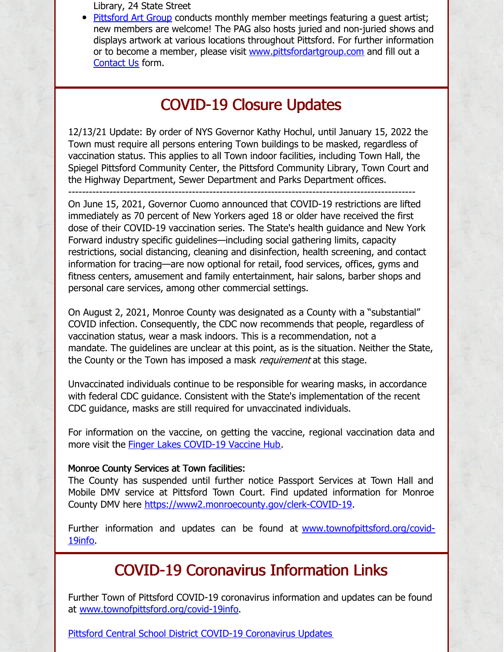Library, 24 State Street

• [Pittsford](https://pittsfordartgroup.wordpress.com/) Art Group conducts monthly member meetings featuring a guest artist; new members are welcome! The PAG also hosts juried and non-juried shows and displays artwork at various locations throughout Pittsford. For further information or to become a member, please visit [www.pittsfordartgroup.com](http://www.pittsfordartgroup.com) and fill out a [Contact](https://pittsfordartgroup.com/contact-us/) Us form.

# COVID-19 Closure Updates

12/13/21 Update: By order of NYS Governor Kathy Hochul, until January 15, 2022 the Town must require all persons entering Town buildings to be masked, regardless of vaccination status. This applies to all Town indoor facilities, including Town Hall, the Spiegel Pittsford Community Center, the Pittsford Community Library, Town Court and the Highway Department, Sewer Department and Parks Department offices.

-----------------------------------------------------------------------------------------------------

On June 15, 2021, Governor Cuomo announced that COVID-19 restrictions are lifted immediately as 70 percent of New Yorkers aged 18 or older have received the first dose of their COVID-19 vaccination series. The State's health guidance and New York Forward industry specific guidelines—including social gathering limits, capacity restrictions, social distancing, cleaning and disinfection, health screening, and contact information for tracing—are now optional for retail, food services, offices, gyms and fitness centers, amusement and family entertainment, hair salons, barber shops and personal care services, among other commercial settings.

On August 2, 2021, Monroe County was designated as a County with a "substantial" COVID infection. Consequently, the CDC now recommends that people, regardless of vaccination status, wear a mask indoors. This is a recommendation, not a mandate. The guidelines are unclear at this point, as is the situation. Neither the State, the County or the Town has imposed a mask *requirement* at this stage.

Unvaccinated individuals continue to be responsible for wearing masks, in accordance with federal CDC guidance. Consistent with the State's implementation of the recent CDC guidance, masks are still required for unvaccinated individuals.

For information on the vaccine, on getting the vaccine, regional vaccination data and more visit the Finger Lakes [COVID-19](https://www.flvaccinehub.com/) Vaccine Hub.

#### Monroe County Services at Town facilities:

The County has suspended until further notice Passport Services at Town Hall and Mobile DMV service at Pittsford Town Court. Find updated information for Monroe County DMV here <https://www2.monroecounty.gov/clerk-COVID-19>.

Further information and updates can be found at [www.townofpittsford.org/covid-](https://www.townofpittsford.org/covid-19info)19info.

# COVID-19 Coronavirus Information Links

Further Town of Pittsford COVID-19 coronavirus information and updates can be found at [www.townofpittsford.org/covid-19info](https://www.townofpittsford.org/covid-19info).

Pittsford Central School District COVID-19 [Coronavirus](https://www.pittsfordschools.org/COVID-19information) Updates